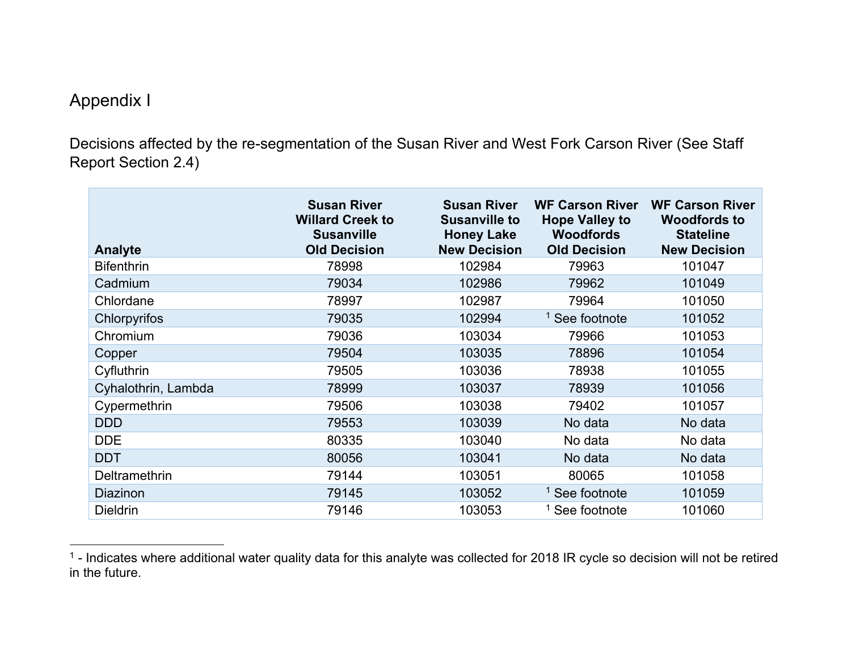## Appendix I

Decisions affected by the re-segmentation of the Susan River and West Fork Carson River (See Staff Report Section 2.4)

| Analyte             | <b>Susan River</b><br><b>Willard Creek to</b><br><b>Susanville</b><br><b>Old Decision</b> | <b>Susan River</b><br><b>Susanville to</b><br><b>Honey Lake</b><br><b>New Decision</b> | <b>WF Carson River</b><br><b>Hope Valley to</b><br><b>Woodfords</b><br><b>Old Decision</b> | <b>WF Carson River</b><br><b>Woodfords to</b><br><b>Stateline</b><br><b>New Decision</b> |
|---------------------|-------------------------------------------------------------------------------------------|----------------------------------------------------------------------------------------|--------------------------------------------------------------------------------------------|------------------------------------------------------------------------------------------|
| <b>Bifenthrin</b>   | 78998                                                                                     | 102984                                                                                 | 79963                                                                                      | 101047                                                                                   |
| Cadmium             | 79034                                                                                     | 102986                                                                                 | 79962                                                                                      | 101049                                                                                   |
| Chlordane           | 78997                                                                                     | 102987                                                                                 | 79964                                                                                      | 101050                                                                                   |
| Chlorpyrifos        | 79035                                                                                     | 102994                                                                                 | <sup>1</sup> See footnote                                                                  | 101052                                                                                   |
| Chromium            | 79036                                                                                     | 103034                                                                                 | 79966                                                                                      | 101053                                                                                   |
| Copper              | 79504                                                                                     | 103035                                                                                 | 78896                                                                                      | 101054                                                                                   |
| Cyfluthrin          | 79505                                                                                     | 103036                                                                                 | 78938                                                                                      | 101055                                                                                   |
| Cyhalothrin, Lambda | 78999                                                                                     | 103037                                                                                 | 78939                                                                                      | 101056                                                                                   |
| Cypermethrin        | 79506                                                                                     | 103038                                                                                 | 79402                                                                                      | 101057                                                                                   |
| <b>DDD</b>          | 79553                                                                                     | 103039                                                                                 | No data                                                                                    | No data                                                                                  |
| <b>DDE</b>          | 80335                                                                                     | 103040                                                                                 | No data                                                                                    | No data                                                                                  |
| <b>DDT</b>          | 80056                                                                                     | 103041                                                                                 | No data                                                                                    | No data                                                                                  |
| Deltramethrin       | 79144                                                                                     | 103051                                                                                 | 80065                                                                                      | 101058                                                                                   |
| Diazinon            | 79145                                                                                     | 103052                                                                                 | <sup>1</sup> See footnote                                                                  | 101059                                                                                   |
| <b>Dieldrin</b>     | 79146                                                                                     | 103053                                                                                 | <sup>1</sup> See footnote                                                                  | 101060                                                                                   |

<span id="page-0-0"></span> $^1$  - Indicates where additional water quality data for this analyte was collected for 2018 IR cycle so decision will not be retired in the future.